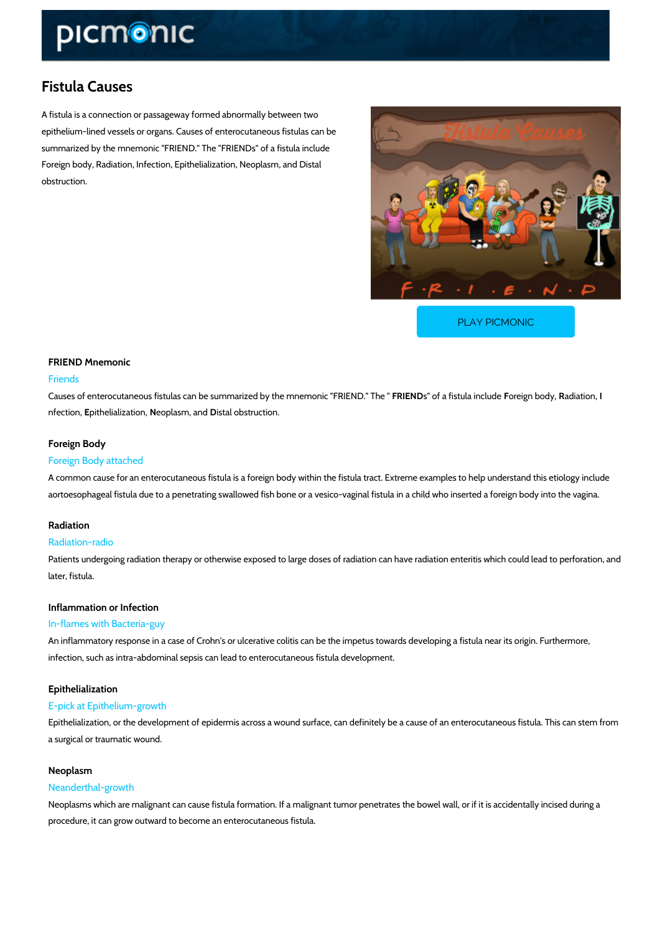# Fistula Causes

A fistula is a connection or passageway formed abnormally between two epithelium-lined vessels or organs. Causes of enterocutaneous fistulas can be summarized by the mnemonic "FRIEND." The "FRIENDs" of a fistula include Foreign body, Radiation, Infection, Epithelialization, Neoplasm, and Distal obstruction.

[PLAY PICMONIC](https://www.picmonic.com/learn/fistula-causes_1420?utm_source=downloadable_content&utm_medium=distributedcontent&utm_campaign=pathways_pdf&utm_content=Fistula Causes&utm_ad_group=leads&utm_market=all)

### FRIEND Mnemonic

### Friends

Causes of enterocutaneous fistulas can be summarizeFdRbEy bulbe fmanéims bunleo n'enFogRub ElbenRubdy" a Tihoen, " nfection, ithelializotetion phasm, Diasted I obstruction.

### Foreign Body

### Foreign Body attached

A common cause for an enterocutaneous fistula is a foreign body within the fistula tract. Extr aortoesophageal fistula due to a penetrating swallowed fish bone or a vesico-vaginal fistula i

#### Radiation

#### Radiation-radio

Patients undergoing radiation therapy or otherwise exposed to large doses of radiation can ha later, fistula.

### Inflammation or Infection

### In-flames with Bacteria-guy

An inflammatory response in a case of Crohn's or ulcerative colitis can be the impetus toward infection, such as intra-abdominal sepsis can lead to enterocutaneous fistula development.

#### Epithelialization

#### E-pick at Epithelium-growth

Epithelialization, or the development of epidermis across a wound surface, can definitely be a a surgical or traumatic wound.

### Neoplasm

#### Neanderthal-growth

Neoplasms which are malignant can cause fistula formation. If a malignant tumor penetrates t procedure, it can grow outward to become an enterocutaneous fistula.